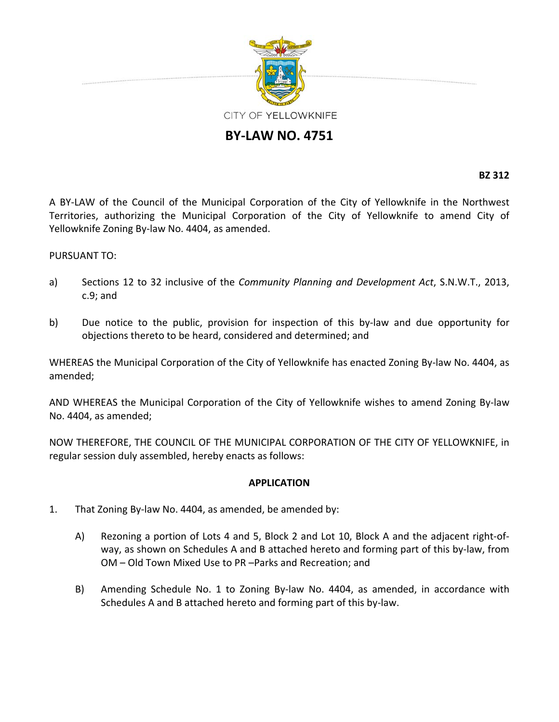

## **BY‐LAW NO. 4751**

**BZ 312**

A BY‐LAW of the Council of the Municipal Corporation of the City of Yellowknife in the Northwest Territories, authorizing the Municipal Corporation of the City of Yellowknife to amend City of Yellowknife Zoning By‐law No. 4404, as amended.

## PURSUANT TO:

- a) Sections 12 to 32 inclusive of the *Community Planning and Development Act*, S.N.W.T., 2013, c.9; and
- b) Due notice to the public, provision for inspection of this by-law and due opportunity for objections thereto to be heard, considered and determined; and

WHEREAS the Municipal Corporation of the City of Yellowknife has enacted Zoning By-law No. 4404, as amended;

AND WHEREAS the Municipal Corporation of the City of Yellowknife wishes to amend Zoning By‐law No. 4404, as amended;

NOW THEREFORE, THE COUNCIL OF THE MUNICIPAL CORPORATION OF THE CITY OF YELLOWKNIFE, in regular session duly assembled, hereby enacts as follows:

## **APPLICATION**

- 1. That Zoning By‐law No. 4404, as amended, be amended by:
	- A) Rezoning a portion of Lots 4 and 5, Block 2 and Lot 10, Block A and the adjacent right‐of‐ way, as shown on Schedules A and B attached hereto and forming part of this by‐law, from OM – Old Town Mixed Use to PR –Parks and Recreation; and
	- B) Amending Schedule No. 1 to Zoning By‐law No. 4404, as amended, in accordance with Schedules A and B attached hereto and forming part of this by‐law.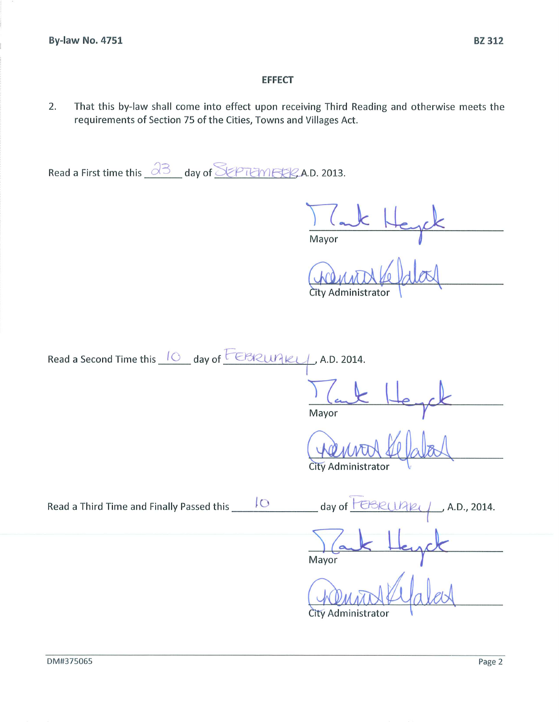## **EFFECT**

2. That this by-law shall come into effect upon receiving Third Reading and otherwise meets the requirements of Section 75 of the Cities, Towns and Villages Act.

Read a First time this  $\overline{33}$  day of SEPTEMERRA.D. 2013.

Mayor

City Administrator

Read a Second Time this 10 day of **EBRUAKY**, A.D. 2014.

Mayor

City Administrator

 $\rightarrow$  A.D., 2014. day of  $1722$ Mayor City Administrator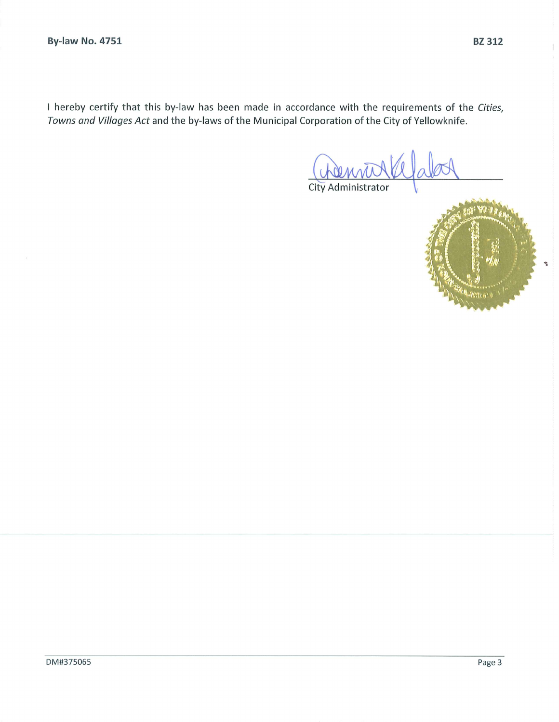I hereby certify that this by-law has been made in accordance with the requirements of the Cities, Towns and Villages Act and the by-laws of the Municipal Corporation of the City of Yellowknife.

City Administrator

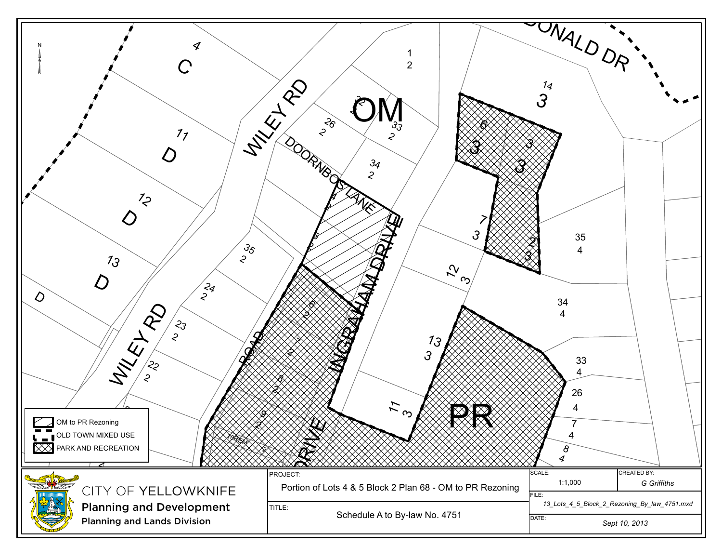